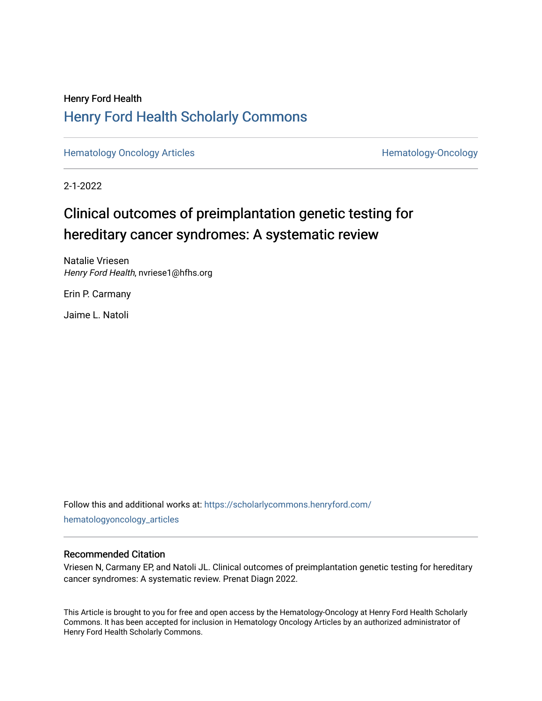## Henry Ford Health [Henry Ford Health Scholarly Commons](https://scholarlycommons.henryford.com/)

[Hematology Oncology Articles](https://scholarlycommons.henryford.com/hematologyoncology_articles) **Hematology-Oncology** 

2-1-2022

## Clinical outcomes of preimplantation genetic testing for hereditary cancer syndromes: A systematic review

Natalie Vriesen Henry Ford Health, nvriese1@hfhs.org

Erin P. Carmany

Jaime L. Natoli

Follow this and additional works at: [https://scholarlycommons.henryford.com/](https://scholarlycommons.henryford.com/hematologyoncology_articles?utm_source=scholarlycommons.henryford.com%2Fhematologyoncology_articles%2F222&utm_medium=PDF&utm_campaign=PDFCoverPages) [hematologyoncology\\_articles](https://scholarlycommons.henryford.com/hematologyoncology_articles?utm_source=scholarlycommons.henryford.com%2Fhematologyoncology_articles%2F222&utm_medium=PDF&utm_campaign=PDFCoverPages)

## Recommended Citation

Vriesen N, Carmany EP, and Natoli JL. Clinical outcomes of preimplantation genetic testing for hereditary cancer syndromes: A systematic review. Prenat Diagn 2022.

This Article is brought to you for free and open access by the Hematology-Oncology at Henry Ford Health Scholarly Commons. It has been accepted for inclusion in Hematology Oncology Articles by an authorized administrator of Henry Ford Health Scholarly Commons.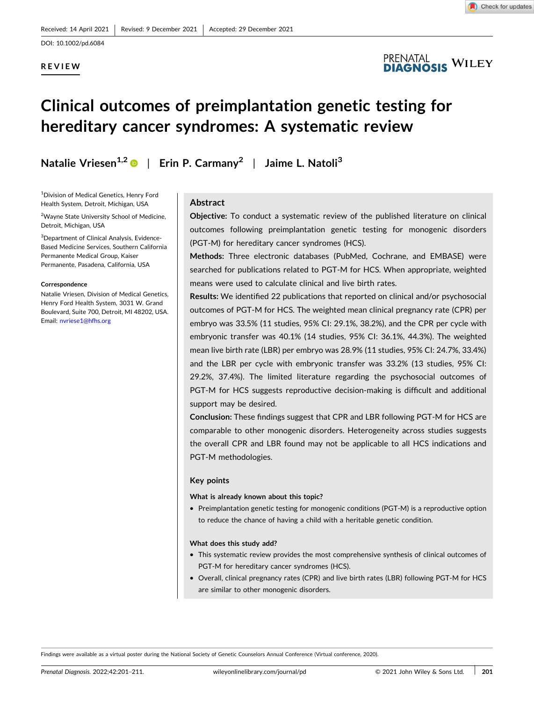## **REVIEW**



**PRENATAL** <sup>[al</sup><br>Josis <sup>Wiley</sup>

# **Clinical outcomes of preimplantation genetic testing for hereditary cancer syndromes: A systematic review**

**Natalie Vriesen1,2** | **Erin P. Carmany2** | **Jaime L. Natoli<sup>3</sup>**

1 Division of Medical Genetics, Henry Ford Health System, Detroit, Michigan, USA

<sup>2</sup>Wayne State University School of Medicine, Detroit, Michigan, USA

3 Department of Clinical Analysis, Evidence‐ Based Medicine Services, Southern California Permanente Medical Group, Kaiser Permanente, Pasadena, California, USA

#### **Correspondence**

Natalie Vriesen, Division of Medical Genetics, Henry Ford Health System, 3031 W. Grand Boulevard, Suite 700, Detroit, MI 48202, USA. Email: [nvriese1@hfhs.org](mailto:nvriese1@hfhs.org)

## **Abstract**

**Objective:** To conduct a systematic review of the published literature on clinical outcomes following preimplantation genetic testing for monogenic disorders (PGT‐M) for hereditary cancer syndromes (HCS).

**Methods:** Three electronic databases (PubMed, Cochrane, and EMBASE) were searched for publications related to PGT-M for HCS. When appropriate, weighted means were used to calculate clinical and live birth rates.

**Results:** We identified 22 publications that reported on clinical and/or psychosocial outcomes of PGT‐M for HCS. The weighted mean clinical pregnancy rate (CPR) per embryo was 33.5% (11 studies, 95% CI: 29.1%, 38.2%), and the CPR per cycle with embryonic transfer was 40.1% (14 studies, 95% CI: 36.1%, 44.3%). The weighted mean live birth rate (LBR) per embryo was 28.9% (11 studies, 95% CI: 24.7%, 33.4%) and the LBR per cycle with embryonic transfer was 33.2% (13 studies, 95% CI: 29.2%, 37.4%). The limited literature regarding the psychosocial outcomes of PGT-M for HCS suggests reproductive decision-making is difficult and additional support may be desired.

**Conclusion:** These findings suggest that CPR and LBR following PGT‐M for HCS are comparable to other monogenic disorders. Heterogeneity across studies suggests the overall CPR and LBR found may not be applicable to all HCS indications and PGT‐M methodologies.

#### **Key points**

#### **What is already known about this topic?**

� Preimplantation genetic testing for monogenic conditions (PGT‐M) is a reproductive option to reduce the chance of having a child with a heritable genetic condition.

#### **What does this study add?**

- � This systematic review provides the most comprehensive synthesis of clinical outcomes of PGT‐M for hereditary cancer syndromes (HCS).
- � Overall, clinical pregnancy rates (CPR) and live birth rates (LBR) following PGT‐M for HCS are similar to other monogenic disorders.

Findings were available as a virtual poster during the National Society of Genetic Counselors Annual Conference (Virtual conference, 2020).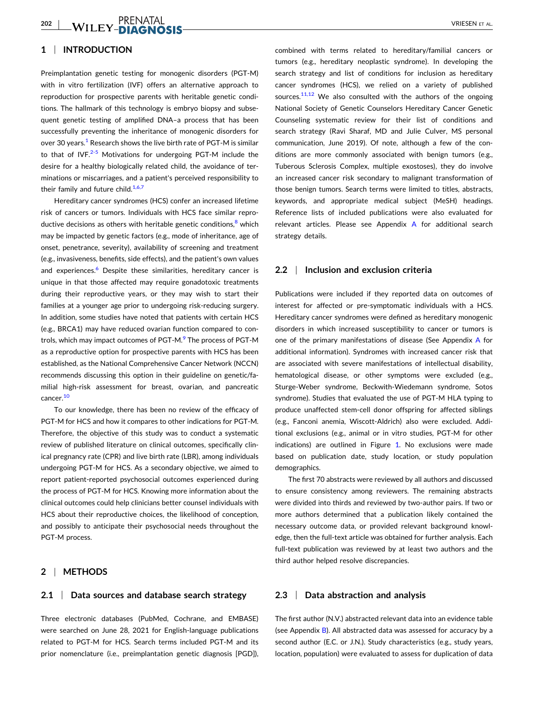## **1** <sup>|</sup> **INTRODUCTION**

Preimplantation genetic testing for monogenic disorders (PGT‐M) with in vitro fertilization (IVF) offers an alternative approach to reproduction for prospective parents with heritable genetic conditions. The hallmark of this technology is embryo biopsy and subsequent genetic testing of amplified DNA–a process that has been successfully preventing the inheritance of monogenic disorders for over 30 years.<sup>1</sup> Research shows the live birth rate of PGT-M is similar to that of IVF. $2-5$  $2-5$  Motivations for undergoing PGT-M include the desire for a healthy biologically related child, the avoidance of terminations or miscarriages, and a patient's perceived responsibility to their family and future child. $1,6,7$ 

Hereditary cancer syndromes (HCS) confer an increased lifetime risk of cancers or tumors. Individuals with HCS face similar reproductive decisions as others with heritable genetic conditions, $8 \text{ which}$  $8 \text{ which}$ may be impacted by genetic factors (e.g., mode of inheritance, age of onset, penetrance, severity), availability of screening and treatment (e.g., invasiveness, benefits, side effects), and the patient's own values and experiences. $6$  Despite these similarities, hereditary cancer is unique in that those affected may require gonadotoxic treatments during their reproductive years, or they may wish to start their families at a younger age prior to undergoing risk‐reducing surgery. In addition, some studies have noted that patients with certain HCS (e.g., BRCA1) may have reduced ovarian function compared to con-trols, which may impact outcomes of PGT-M.<sup>[9](#page-10-0)</sup> The process of PGT-M as a reproductive option for prospective parents with HCS has been established, as the National Comprehensive Cancer Network (NCCN) recommends discussing this option in their guideline on genetic/familial high-risk assessment for breast, ovarian, and pancreatic cancer.<sup>[10](#page-10-0)</sup>

To our knowledge, there has been no review of the efficacy of PGT‐M for HCS and how it compares to other indications for PGT‐M. Therefore, the objective of this study was to conduct a systematic review of published literature on clinical outcomes, specifically clinical pregnancy rate (CPR) and live birth rate (LBR), among individuals undergoing PGT‐M for HCS. As a secondary objective, we aimed to report patient‐reported psychosocial outcomes experienced during the process of PGT‐M for HCS. Knowing more information about the clinical outcomes could help clinicians better counsel individuals with HCS about their reproductive choices, the likelihood of conception, and possibly to anticipate their psychosocial needs throughout the PGT‐M process.

## **2** <sup>|</sup> **METHODS**

#### **2.1** <sup>|</sup> **Data sources and database search strategy**

Three electronic databases (PubMed, Cochrane, and EMBASE) were searched on June 28, 2021 for English‐language publications related to PGT‐M for HCS. Search terms included PGT‐M and its prior nomenclature (i.e., preimplantation genetic diagnosis [PGD]),

combined with terms related to hereditary/familial cancers or tumors (e.g., hereditary neoplastic syndrome). In developing the search strategy and list of conditions for inclusion as hereditary cancer syndromes (HCS), we relied on a variety of published sources.<sup>11,12</sup> We also consulted with the authors of the ongoing National Society of Genetic Counselors Hereditary Cancer Genetic Counseling systematic review for their list of conditions and search strategy (Ravi Sharaf, MD and Julie Culver, MS personal communication, June 2019). Of note, although a few of the conditions are more commonly associated with benign tumors (e.g., Tuberous Sclerosis Complex, multiple exostoses), they do involve an increased cancer risk secondary to malignant transformation of those benign tumors. Search terms were limited to titles, abstracts, keywords, and appropriate medical subject (MeSH) headings. Reference lists of included publications were also evaluated for relevant articles. Please see Appendix A for additional search strategy details.

#### **2.2** <sup>|</sup> **Inclusion and exclusion criteria**

Publications were included if they reported data on outcomes of interest for affected or pre‐symptomatic individuals with a HCS. Hereditary cancer syndromes were defined as hereditary monogenic disorders in which increased susceptibility to cancer or tumors is one of the primary manifestations of disease (See Appendix A for additional information). Syndromes with increased cancer risk that are associated with severe manifestations of intellectual disability, hematological disease, or other symptoms were excluded (e.g., Sturge‐Weber syndrome, Beckwith‐Wiedemann syndrome, Sotos syndrome). Studies that evaluated the use of PGT-M HLA typing to produce unaffected stem-cell donor offspring for affected siblings (e.g., Fanconi anemia, Wiscott‐Aldrich) also were excluded. Additional exclusions (e.g., animal or in vitro studies, PGT‐M for other indications) are outlined in Figure [1](#page-3-0). No exclusions were made based on publication date, study location, or study population demographics.

The first 70 abstracts were reviewed by all authors and discussed to ensure consistency among reviewers. The remaining abstracts were divided into thirds and reviewed by two-author pairs. If two or more authors determined that a publication likely contained the necessary outcome data, or provided relevant background knowledge, then the full-text article was obtained for further analysis. Each full-text publication was reviewed by at least two authors and the third author helped resolve discrepancies.

#### **2.3** <sup>|</sup> **Data abstraction and analysis**

The first author (N.V.) abstracted relevant data into an evidence table (see Appendix B). All abstracted data was assessed for accuracy by a second author (E.C. or J.N.). Study characteristics (e.g., study years, location, population) were evaluated to assess for duplication of data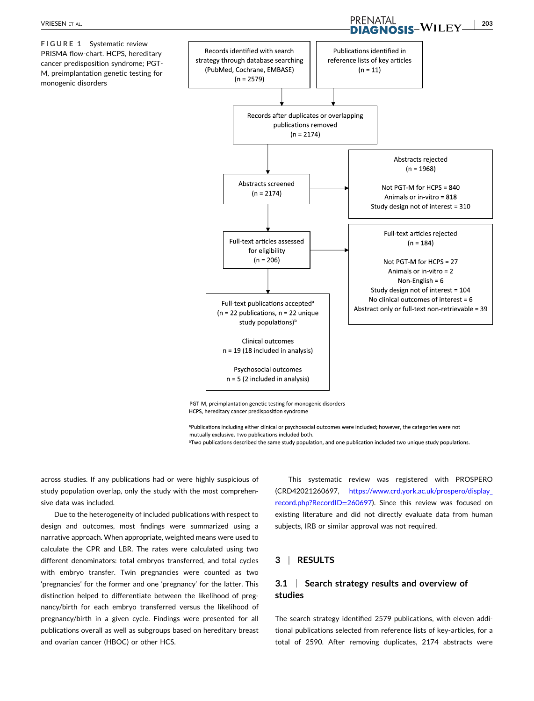<span id="page-3-0"></span>**FIGURE 1** Systematic review PRISMA flow‐chart. HCPS, hereditary cancer predisposition syndrome; PGT‐ M, preimplantation genetic testing for monogenic disorders



PGT-M, preimplantation genetic testing for monogenic disorders HCPS, hereditary cancer predisposition syndrome

apublications including either clinical or psychosocial outcomes were included; however, the categories were not mutually exclusive. Two publications included both.

<sup>b</sup>Two publications described the same study population, and one publication included two unique study populations.

across studies. If any publications had or were highly suspicious of study population overlap, only the study with the most comprehensive data was included.

Due to the heterogeneity of included publications with respect to design and outcomes, most findings were summarized using a narrative approach. When appropriate, weighted means were used to calculate the CPR and LBR. The rates were calculated using two different denominators: total embryos transferred, and total cycles with embryo transfer. Twin pregnancies were counted as two 'pregnancies' for the former and one 'pregnancy' for the latter. This distinction helped to differentiate between the likelihood of pregnancy/birth for each embryo transferred versus the likelihood of pregnancy/birth in a given cycle. Findings were presented for all publications overall as well as subgroups based on hereditary breast and ovarian cancer (HBOC) or other HCS.

This systematic review was registered with PROSPERO (CRD42021260697, [https://www.crd.york.ac.uk/prospero/display\\_](https://www.crd.york.ac.uk/prospero/display_record.php?RecordID=260697) [record.php?RecordID](https://www.crd.york.ac.uk/prospero/display_record.php?RecordID=260697)=260697). Since this review was focused on existing literature and did not directly evaluate data from human subjects, IRB or similar approval was not required.

### **3** <sup>|</sup> **RESULTS**

## **3.1** <sup>|</sup> **Search strategy results and overview of studies**

The search strategy identified 2579 publications, with eleven additional publications selected from reference lists of key‐articles, for a total of 2590. After removing duplicates, 2174 abstracts were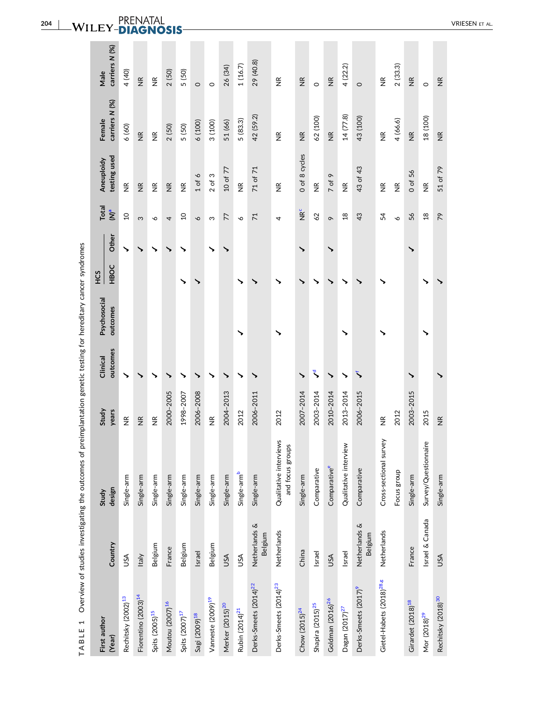<span id="page-4-0"></span>

| 4<br>י המבירות ו                     |                          |                                            |                    |              | - האינדר המונים לא היה המונים המונים המונים המונים לא היה המונים לא היה המונים המונים המונים המונים לא היה המו<br>המונים המונים המונים המונים המונים המונים המונים המונים המונים המונים המונים המונים המונים המונים המונים המוני |      |       |                 |                             |                    |                             |
|--------------------------------------|--------------------------|--------------------------------------------|--------------------|--------------|----------------------------------------------------------------------------------------------------------------------------------------------------------------------------------------------------------------------------------|------|-------|-----------------|-----------------------------|--------------------|-----------------------------|
| First author                         |                          | Study                                      | Study              | Clinical     | Psychosocial                                                                                                                                                                                                                     | ES   |       | Total           | Aneuploidy                  | Female             | Male                        |
| (Year)                               | Country                  | design                                     | years              | outcomes     | outcomes                                                                                                                                                                                                                         | HBOC | Other | $\sum_{\alpha}$ | testing used                | carriers N (%)     | carriers N (%)              |
| Rechitsky (2002) <sup>13</sup>       | USA                      | Single-arm                                 | $\frac{\alpha}{Z}$ |              |                                                                                                                                                                                                                                  |      |       | $\overline{a}$  | $\widetilde{\Xi}$           | 6(60)              | 4 (40)                      |
| Fiorentino (2003) <sup>14</sup>      | Italy                    | Single-arm                                 | $\frac{\alpha}{2}$ |              |                                                                                                                                                                                                                                  |      |       | S               | $\widetilde{\Xi}$           | $\frac{\alpha}{2}$ | $\frac{\alpha}{Z}$          |
| Spits (2005) <sup>15</sup>           | Belgium                  | Single-arm                                 | $\widetilde{\Xi}$  |              |                                                                                                                                                                                                                                  |      |       | ∘               | $\widetilde{\Xi}$           | $\widetilde{\Xi}$  | $\widetilde{\Xi}$           |
| Moutou (2007) <sup>16</sup>          | France                   | Single-arm                                 | 2000-2005          |              |                                                                                                                                                                                                                                  |      |       | 4               | $\frac{\alpha}{Z}$          | 2(50)              | 2(50)                       |
| Spits $(2007)^{17}$                  | Belgium                  | Single-arm                                 | 1998-2007          |              |                                                                                                                                                                                                                                  |      | ↘     | $\overline{a}$  | $\widetilde{\Xi}$           | 5 (50)             | 5 (50)                      |
| Sagi (2009) <sup>18</sup>            | Israel                   | Single-arm                                 | 2006-2008          |              |                                                                                                                                                                                                                                  |      |       | $\sim$          | $1$ of 6                    | (100)              | $\circ$                     |
| Vanneste (2009) <sup>19</sup>        | Belgium                  | Single-arm                                 | $\frac{\alpha}{2}$ |              |                                                                                                                                                                                                                                  |      |       | ω               | $2$ of $3$                  | 3 (100)            | $\circ$                     |
| Merker (2015) <sup>20</sup>          | USA                      | Single-arm                                 | 2004-2013          |              |                                                                                                                                                                                                                                  |      |       | 77              | 10 of 77                    | 51 (66)            | 26 (34)                     |
| Rubin (2014) <sup>21</sup>           | ΑSυ                      | Single-arm <sup>b</sup>                    | 2012               |              | ↘                                                                                                                                                                                                                                |      |       | $\sim$          | $\frac{\alpha}{Z}$          | 5 (83.3)           | 1(16.7)                     |
| Derks-Smeets (2014) <sup>22</sup>    | Netherlands &<br>Belgium | Single-arm                                 | 2006-2011          |              |                                                                                                                                                                                                                                  |      |       | $\overline{71}$ | 71 of 71                    | 42 (59.2)          | 29 (40.8)                   |
| Derks-Smeets (2014) <sup>23</sup>    | Netherlands              | Qualitative interviews<br>and focus groups | 2012               |              |                                                                                                                                                                                                                                  |      |       | 4               | $\frac{\alpha}{\mathsf{Z}}$ | $\frac{\alpha}{Z}$ | $\frac{\alpha}{Z}$          |
| Chow (2015) <sup>24</sup>            | China                    | Single-arm                                 | 2007-2014          | ↘            |                                                                                                                                                                                                                                  |      | ↘     | <b>NR</b> c     | 0 of 8 cycles               | $\frac{\alpha}{Z}$ | $\frac{\alpha}{Z}$          |
| Shapira (2015) <sup>25</sup>         | Israel                   | Comparative                                | 2003-2014          | र्           |                                                                                                                                                                                                                                  |      |       | 62              | $\frac{\alpha}{Z}$          | 62 (100)           | $\circ$                     |
| Goldman (2016) <sup>26</sup>         | USA                      | Comparativee                               | 2010-2014          | $\checkmark$ |                                                                                                                                                                                                                                  |      |       | $\sigma$        | $7$ of 9                    | $\widetilde{\Xi}$  | $\frac{\alpha}{Z}$          |
| Dagan (2017) <sup>27</sup>           | Israel                   | Qualitative interview                      | 2013-2014          |              |                                                                                                                                                                                                                                  |      |       | $\frac{8}{1}$   | $\frac{\alpha}{Z}$          | 14(77.8)           | 4(22.2)                     |
| Derks-Smeets (2017) <sup>9</sup>     | Netherlands &<br>Belgium | Comparative                                | 2006-2015          |              |                                                                                                                                                                                                                                  |      |       | 43              | 43 of 43                    | 43 (100)           | $\circ$                     |
| Gietel-Habets (2018) <sup>28,g</sup> | Netherlands              | Cross-sectional survey                     | $\frac{\alpha}{Z}$ |              |                                                                                                                                                                                                                                  |      |       | 54              | $\frac{\alpha}{2}$          | $\widetilde{\Xi}$  | $\widetilde{\Xi}$           |
|                                      |                          | Focus group                                | 2012               |              |                                                                                                                                                                                                                                  |      |       | $\breve{\circ}$ | $\frac{\alpha}{2}$          | 4(66.6)            | 2(33.3)                     |
| Girardet (2018) <sup>18</sup>        | France                   | Single-arm                                 | 2003-2015          |              |                                                                                                                                                                                                                                  |      |       | 56              | $0$ of 56                   | $\frac{\alpha}{2}$ | $\frac{\alpha}{Z}$          |
| Mor (2018) <sup>29</sup>             | Israel & Canada          | Survey/Questionnaire                       | 2015               |              |                                                                                                                                                                                                                                  |      |       | $\frac{8}{2}$   | $\frac{\alpha}{Z}$          | 18 (100)           | $\circ$                     |
| Rechitsky (2018) <sup>30</sup>       | USA                      | Single-arm                                 | $\frac{\alpha}{2}$ |              |                                                                                                                                                                                                                                  |      |       | 79              | 51 of 79                    | $\widetilde{\Xi}$  | $\frac{\alpha}{\mathsf{Z}}$ |

Overview of studies investigating the outcomes of preimplantation genetic testing for hereditary cancer syndromes **TABLE 1** Overview of studies investigating the outcomes of preimplantation genetic testing for hereditary cancer syndromes TABLE 1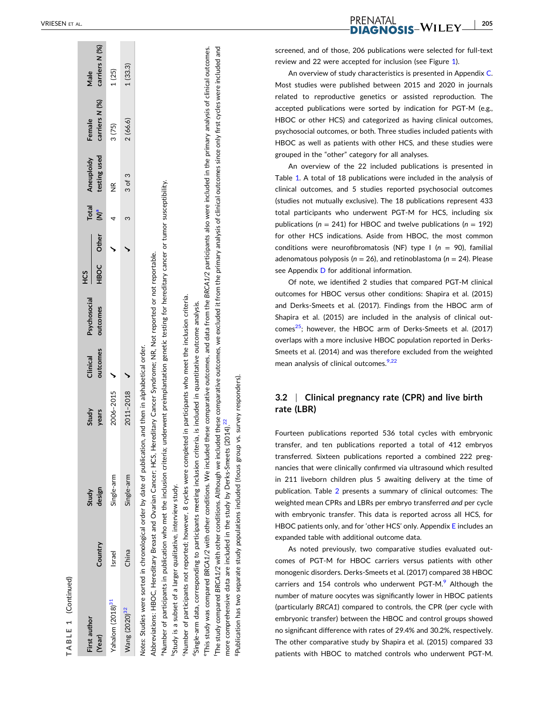<span id="page-5-0"></span>

| TABLE 1 (Continued)                                                      |               |                                                                                                                                                                |                                 |          |              |             |       |              |                    |                |                |
|--------------------------------------------------------------------------|---------------|----------------------------------------------------------------------------------------------------------------------------------------------------------------|---------------------------------|----------|--------------|-------------|-------|--------------|--------------------|----------------|----------------|
| First author                                                             |               | Study                                                                                                                                                          | Study                           | Clinical | Psychosocial | СS<br>Н     |       | <b>Total</b> | Aneuploidy         | Female         | Male           |
| (Year)                                                                   | Country       | design                                                                                                                                                         | years                           | outcomes | outcomes     | <b>HBOC</b> | Other | $\sum_{a}$   | testing used       | carriers N (%) | carriers N (%) |
| Yahalom (2018) <sup>31</sup>                                             | <b>Israel</b> | Single-arm                                                                                                                                                     | 2006-2015                       |          |              |             |       |              | $\frac{\alpha}{2}$ | 3(75)          | 1(25)          |
| Wang (2020) <sup>32</sup>                                                | China         | Single-arm                                                                                                                                                     | 2011-2018                       |          |              |             |       |              | $3$ of $3$         | 2(66.6)        | 1(33.3)        |
|                                                                          |               | Notes: Studies were sorted in chronological order by date of publication                                                                                       | and then in alphabetical order. |          |              |             |       |              |                    |                |                |
|                                                                          |               | Abbreviations: HBOC, Hereditary Breast and Ovarian Cancer; HCS, Hereditary Cancer Syndrome; NR, Not reported or not reportable.                                |                                 |          |              |             |       |              |                    |                |                |
|                                                                          |               | Number of participants in publication who met the inclusion criteria; underwent preimplantation genetic testing for hereditary cancer or tumor susceptibility. |                                 |          |              |             |       |              |                    |                |                |
| <sup>b</sup> Study is a subset of a larger qualitative, interview study. |               |                                                                                                                                                                |                                 |          |              |             |       |              |                    |                |                |
|                                                                          |               | 'Number of participants not reported; however, 8 cycles were completed in participants who meet the inclusion criteria.                                        |                                 |          |              |             |       |              |                    |                |                |
|                                                                          |               | "Single-arm data, corresponding to participants meeting inclusion criteria, is included in quantitative outcome analysis.                                      |                                 |          |              |             |       |              |                    |                |                |

The study compared BRCA1/2 with other conditions. Although we included these comparative outcomes, we excluded it from the primary analysis of clinical outcomes since only first cycles were included and fThe study compared *BRCA1/2* with other conditions. Although we included these comparative outcomes, we excluded it from the primary analysis of clinical outcomes since only first cycles were included and 22 more comprehensive data are included in the study by Derks-Smeets  $(2014)^{22}$  $(2014)^{22}$  $(2014)^{22}$ more comprehensive data are included in the study by Derks-Smeets (2014)

eThis study was compared *BRCA1/2* with other conditions. We included these comparative outcomes, and data from the *BRCA1/2* participants also were included in the primary analysis of clinical outcomes.

This study was compared BRCA1/2 with other conditions. We included these comparative outcomes, and data from the BRCA1/2 participants also were included in the primary analysis of clinical outcomes.

gPublication has two separate study populations included (focus group vs. survey responders). responders) Publication has two separate study populations included (focus group vs. survey PRENATAL<br>**DIAGNOSIS-W**ILEY

- **205**

screened, and of those, 206 publications were selected for full ‐text review and 22 were accepted for inclusion (see Figure [1](#page-3-0)).

An overview of study characteristics is presented in Appendix C. Most studies were published between 2015 and 2020 in journals related to reproductive genetics or assisted reproduction. The accepted publications were sorted by indication for PGT ‐ M (e.g., HBOC or other HCS) and categorized as having clinical outcomes, psychosocial outcomes, or both. Three studies included patients with HBOC as well as patients with other HCS, and these studies were grouped in the "other" category for all analyses.

An overview of the 22 included publications is presented in Table [1](#page-4-0) . A total of 18 publications were included in the analysis of clinical outcomes, and 5 studies reported psychosocial outcomes (studies not mutually exclusive). The 18 publications represent 433 total participants who underwent PGT ‐ M for HCS, including six publications ( *n* = 241) for HBOC and twelve publications ( *n* = 192) for other HCS indications. Aside from HBOC, the most common conditions were neurofibromatosis (NF) type I ( *n* = 90), familial adenomatous polyposis ( *n* = 26), and retinoblastoma ( *n* = 24). Please see Appendix D for additional information.

Of note, we identified 2 studies that compared PGT ‐ M clinical outcomes for HBOC versus other conditions: Shapira et al. (2015) and Derks ‐Smeets et al. (2017). Findings from the HBOC arm of Shapira et al. (2015) are included in the analysis of clinical outcomes $^{25}$ ; however, the HBOC arm of Derks-Smeets et al. (2017) overlaps with a more inclusive HBOC population reported in Derks ‐ Smeets et al. (2014) and was therefore excluded from the weighted mean analysis of clinical outcomes.<sup>9,22</sup>

#### **3.2** <sup>|</sup> **Clinical pregnancy rate (CPR) and live birth rate (LBR)**

Fourteen publications reported 536 total cycles with embryonic transfer, and ten publications reported a total of 412 embryos transferred. Sixteen publications reported a combined 222 pregnancies that were clinically confirmed via ultrasound which resulted in 211 liveborn children plus 5 awaiting delivery at the time of publication. Table [2](#page-6-0) presents a summary of clinical outcomes: The weighted mean CPRs and LBRs per embryo transferred *and* per cycle with embryonic transfer. This data is reported across all HCS, for HBOC patients only, and for 'other HCS' only. Appendix E includes an expanded table with additional outcome data.

As noted previously, two comparative studies evaluated outcomes of PGT‐M for HBOC carriers versus patients with other monogenic disorders. Derks ‐Smeets et al. (2017) compared 38 HBOC carriers and 154 controls who underwent PGT-M.<sup>[9](#page-10-0)</sup> Although the number of mature oocytes was significantly lower in HBOC patients (particularly *BRCA1* ) compared to controls, the CPR (per cycle with embryonic transfer) between the HBOC and control groups showed no significant difference with rates of 29.4% and 30.2%, respectively. The other comparative study by Shapira et al. (2015) compared 33 patients with HBOC to matched controls who underwent PGT ‐M.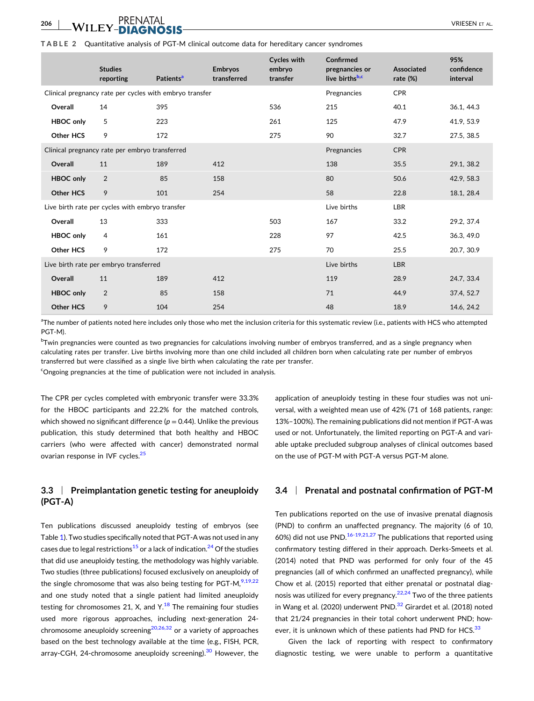#### <span id="page-6-0"></span>**206**  $\blacksquare$  VII FY FOUND MORE  $\blacksquare$

#### **TABLE 2** Quantitative analysis of PGT‐M clinical outcome data for hereditary cancer syndromes

|                  | <b>Studies</b><br>reporting                             | Patients <sup>a</sup> | <b>Embryos</b><br>transferred | Cycles with<br>embryo<br>transfer | Confirmed<br>pregnancies or<br>live birthsb,c | Associated<br>rate $(\%)$ | 95%<br>confidence<br>interval |
|------------------|---------------------------------------------------------|-----------------------|-------------------------------|-----------------------------------|-----------------------------------------------|---------------------------|-------------------------------|
|                  | Clinical pregnancy rate per cycles with embryo transfer |                       |                               |                                   | Pregnancies                                   | <b>CPR</b>                |                               |
| Overall          | 14                                                      | 395                   |                               | 536                               | 215                                           | 40.1                      | 36.1, 44.3                    |
| <b>HBOC</b> only | 5                                                       | 223                   |                               | 261                               | 125                                           | 47.9                      | 41.9, 53.9                    |
| Other HCS        | 9                                                       | 172                   |                               | 275                               | 90                                            | 32.7                      | 27.5, 38.5                    |
|                  | Clinical pregnancy rate per embryo transferred          |                       |                               |                                   | Pregnancies                                   | <b>CPR</b>                |                               |
| Overall          | 11                                                      | 189                   | 412                           |                                   | 138                                           | 35.5                      | 29.1, 38.2                    |
| <b>HBOC</b> only | $\overline{2}$                                          | 85                    | 158                           |                                   | 80                                            | 50.6                      | 42.9, 58.3                    |
| <b>Other HCS</b> | 9                                                       | 101                   | 254                           |                                   | 58                                            | 22.8                      | 18.1, 28.4                    |
|                  | Live birth rate per cycles with embryo transfer         |                       |                               |                                   | Live births                                   | <b>LBR</b>                |                               |
| Overall          | 13                                                      | 333                   |                               | 503                               | 167                                           | 33.2                      | 29.2, 37.4                    |
| <b>HBOC only</b> | 4                                                       | 161                   |                               | 228                               | 97                                            | 42.5                      | 36.3, 49.0                    |
| Other HCS        | 9                                                       | 172                   |                               | 275                               | 70                                            | 25.5                      | 20.7, 30.9                    |
|                  | Live birth rate per embryo transferred                  |                       |                               |                                   | Live births                                   | <b>LBR</b>                |                               |
| Overall          | 11                                                      | 189                   | 412                           |                                   | 119                                           | 28.9                      | 24.7, 33.4                    |
| <b>HBOC</b> only | 2                                                       | 85                    | 158                           |                                   | 71                                            | 44.9                      | 37.4, 52.7                    |
| <b>Other HCS</b> | 9                                                       | 104                   | 254                           |                                   | 48                                            | 18.9                      | 14.6, 24.2                    |
|                  |                                                         |                       |                               |                                   |                                               |                           |                               |

<sup>a</sup>The number of patients noted here includes only those who met the inclusion criteria for this systematic review (i.e., patients with HCS who attempted PGT‐M).

bTwin pregnancies were counted as two pregnancies for calculations involving number of embryos transferred, and as a single pregnancy when calculating rates per transfer. Live births involving more than one child included all children born when calculating rate per number of embryos transferred but were classified as a single live birth when calculating the rate per transfer.

<sup>c</sup>Ongoing pregnancies at the time of publication were not included in analysis.

The CPR per cycles completed with embryonic transfer were 33.3% for the HBOC participants and 22.2% for the matched controls, which showed no significant difference ( $p = 0.44$ ). Unlike the previous publication, this study determined that both healthy and HBOC carriers (who were affected with cancer) demonstrated normal ovarian response in IVF cycles.<sup>[25](#page-11-0)</sup>

## **3.3** <sup>|</sup> **Preimplantation genetic testing for aneuploidy (PGT‐A)**

Ten publications discussed aneuploidy testing of embryos (see Table [1](#page-4-0)). Two studies specifically noted that PGT‐A was not used in any cases due to legal restrictions<sup>[15](#page-10-0)</sup> or a lack of indication.<sup>24</sup> Of the studies that did use aneuploidy testing, the methodology was highly variable. Two studies (three publications) focused exclusively on aneuploidy of the single chromosome that was also being testing for PGT-M, $9,19,22$ and one study noted that a single patient had limited aneuploidy testing for chromosomes 21, X, and  $Y<sup>18</sup>$  $Y<sup>18</sup>$  $Y<sup>18</sup>$  The remaining four studies used more rigorous approaches, including next‐generation 24‐ chromosome aneuploidy screening<sup>[20,26,32](#page-11-0)</sup> or a variety of approaches based on the best technology available at the time (e.g., FISH, PCR, array‐CGH, 24‐chromosome aneuploidy screening).<sup>[30](#page-11-0)</sup> However, the

application of aneuploidy testing in these four studies was not universal, with a weighted mean use of 42% (71 of 168 patients, range: 13%–100%). The remaining publications did not mention if PGT‐A was used or not. Unfortunately, the limited reporting on PGT‐A and variable uptake precluded subgroup analyses of clinical outcomes based on the use of PGT‐M with PGT‐A versus PGT‐M alone.

### **3.4** <sup>|</sup> **Prenatal and postnatal confirmation of PGT‐M**

Ten publications reported on the use of invasive prenatal diagnosis (PND) to confirm an unaffected pregnancy. The majority (6 of 10, 60%) did not use PND.<sup>16-[19,21,27](#page-10-0)</sup> The publications that reported using confirmatory testing differed in their approach. Derks‐Smeets et al. (2014) noted that PND was performed for only four of the 45 pregnancies (all of which confirmed an unaffected pregnancy), while Chow et al. (2015) reported that either prenatal or postnatal diag-nosis was utilized for every pregnancy.<sup>[22,24](#page-11-0)</sup> Two of the three patients in Wang et al. (2020) underwent PND. $^{32}$  $^{32}$  $^{32}$  Girardet et al. (2018) noted that 21/24 pregnancies in their total cohort underwent PND; how-ever, it is unknown which of these patients had PND for HCS.<sup>[33](#page-11-0)</sup>

Given the lack of reporting with respect to confirmatory diagnostic testing, we were unable to perform a quantitative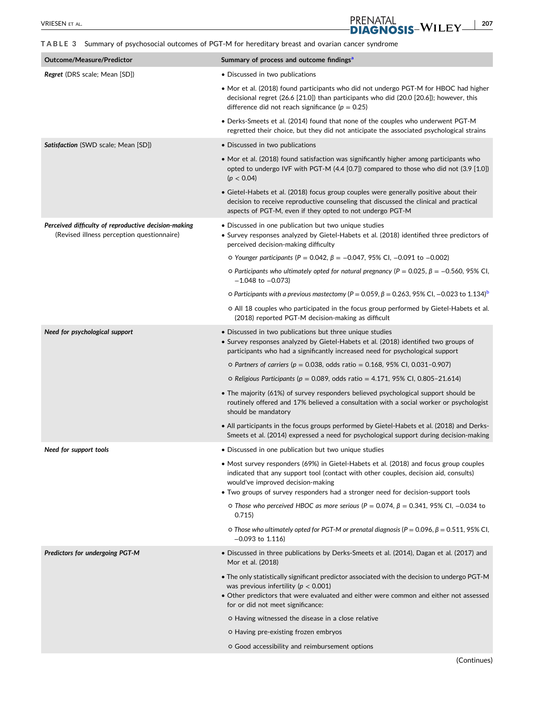<span id="page-7-0"></span>**TABLE 3** Summary of psychosocial outcomes of PGT‐M for hereditary breast and ovarian cancer syndrome

PRENATAL

| Outcome/ Measure/ Fileulctoi                                                                       | <b>JULITUAL Y OF PROCESS AND OUTCOME INTUITIES</b>                                                                                                                                                                                                                                                     |
|----------------------------------------------------------------------------------------------------|--------------------------------------------------------------------------------------------------------------------------------------------------------------------------------------------------------------------------------------------------------------------------------------------------------|
| <b>Regret</b> (DRS scale; Mean [SD])                                                               | • Discussed in two publications                                                                                                                                                                                                                                                                        |
|                                                                                                    | • Mor et al. (2018) found participants who did not undergo PGT-M for HBOC had higher<br>decisional regret (26.6 [21.0]) than participants who did (20.0 [20.6]); however, this<br>difference did not reach significance ( $p = 0.25$ )                                                                 |
|                                                                                                    | • Derks-Smeets et al. (2014) found that none of the couples who underwent PGT-M<br>regretted their choice, but they did not anticipate the associated psychological strains                                                                                                                            |
| <b>Satisfaction</b> (SWD scale; Mean [SD])                                                         | • Discussed in two publications                                                                                                                                                                                                                                                                        |
|                                                                                                    | • Mor et al. (2018) found satisfaction was significantly higher among participants who<br>opted to undergo IVF with PGT-M (4.4 [0.7]) compared to those who did not (3.9 [1.0])<br>(p < 0.04)                                                                                                          |
|                                                                                                    | • Gietel-Habets et al. (2018) focus group couples were generally positive about their<br>decision to receive reproductive counseling that discussed the clinical and practical<br>aspects of PGT-M, even if they opted to not undergo PGT-M                                                            |
| Perceived difficulty of reproductive decision-making<br>(Revised illness perception questionnaire) | • Discussed in one publication but two unique studies<br>• Survey responses analyzed by Gietel-Habets et al. (2018) identified three predictors of<br>perceived decision-making difficulty                                                                                                             |
|                                                                                                    | $\circ$ Younger participants (P = 0.042, β = −0.047, 95% CI, −0.091 to −0.002)                                                                                                                                                                                                                         |
|                                                                                                    | O Participants who ultimately opted for natural pregnancy ( $P = 0.025$ , $\beta = -0.560$ , 95% CI,<br>$-1.048$ to $-0.073$ )                                                                                                                                                                         |
|                                                                                                    | O Participants with a previous mastectomy (P = 0.059, β = 0.263, 95% CI, -0.023 to 1.134) <sup>8</sup>                                                                                                                                                                                                 |
|                                                                                                    | o All 18 couples who participated in the focus group performed by Gietel-Habets et al.<br>(2018) reported PGT-M decision-making as difficult                                                                                                                                                           |
| Need for psychological support                                                                     | • Discussed in two publications but three unique studies<br>• Survey responses analyzed by Gietel-Habets et al. (2018) identified two groups of<br>participants who had a significantly increased need for psychological support                                                                       |
|                                                                                                    | $\circ$ Partners of carriers (p = 0.038, odds ratio = 0.168, 95% CI, 0.031-0.907)                                                                                                                                                                                                                      |
|                                                                                                    | $\circ$ Religious Participants ( $p = 0.089$ , odds ratio = 4.171, 95% CI, 0.805-21.614)                                                                                                                                                                                                               |
|                                                                                                    | • The majority (61%) of survey responders believed psychological support should be<br>routinely offered and 17% believed a consultation with a social worker or psychologist<br>should be mandatory                                                                                                    |
|                                                                                                    | • All participants in the focus groups performed by Gietel-Habets et al. (2018) and Derks-<br>Smeets et al. (2014) expressed a need for psychological support during decision-making                                                                                                                   |
| Need for support tools                                                                             | • Discussed in one publication but two unique studies                                                                                                                                                                                                                                                  |
|                                                                                                    | • Most survey responders (69%) in Gietel-Habets et al. (2018) and focus group couples<br>indicated that any support tool (contact with other couples, decision aid, consults)<br>would've improved decision-making<br>• Two groups of survey responders had a stronger need for decision-support tools |
|                                                                                                    | ο Those who perceived HBOC as more serious ( $P = 0.074$ , $β = 0.341$ , 95% CI, -0.034 to<br>0.715)                                                                                                                                                                                                   |
|                                                                                                    | O Those who ultimately opted for PGT-M or prenatal diagnosis ( $P = 0.096$ , $\beta = 0.511$ , 95% CI,<br>$-0.093$ to 1.116)                                                                                                                                                                           |
| Predictors for undergoing PGT-M                                                                    | • Discussed in three publications by Derks-Smeets et al. (2014), Dagan et al. (2017) and<br>Mor et al. (2018)                                                                                                                                                                                          |
|                                                                                                    | . The only statistically significant predictor associated with the decision to undergo PGT-M<br>was previous infertility ( $p < 0.001$ )<br>• Other predictors that were evaluated and either were common and either not assessed<br>for or did not meet significance:                                 |
|                                                                                                    | o Having witnessed the disease in a close relative                                                                                                                                                                                                                                                     |
|                                                                                                    | o Having pre-existing frozen embryos                                                                                                                                                                                                                                                                   |
|                                                                                                    | o Good accessibility and reimbursement options                                                                                                                                                                                                                                                         |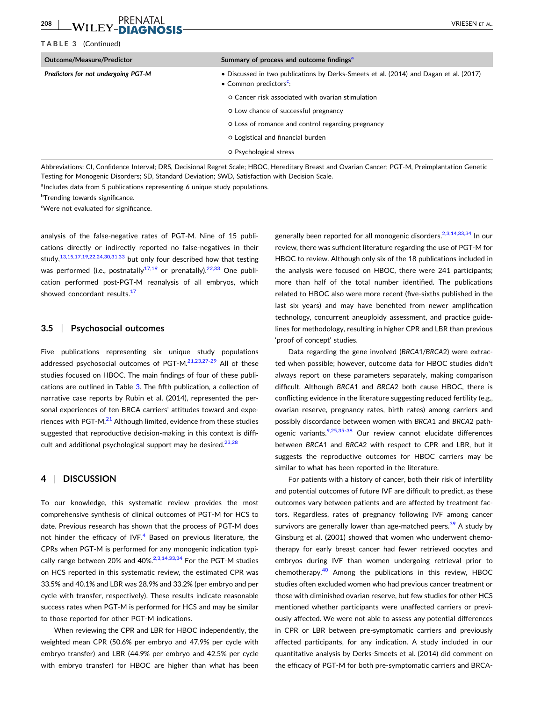#### <span id="page-8-0"></span>**208**  $\blacksquare$  VII FY FOUND MORE  $\blacksquare$

#### **TABLE 3** (Continued)

| Outcome/Measure/Predictor           | Summary of process and outcome findings <sup>a</sup>                                                                        |
|-------------------------------------|-----------------------------------------------------------------------------------------------------------------------------|
| Predictors for not undergoing PGT-M | • Discussed in two publications by Derks-Smeets et al. (2014) and Dagan et al. (2017)<br>• Common predictors <sup>c</sup> : |
|                                     | O Cancer risk associated with ovarian stimulation                                                                           |
|                                     | o Low chance of successful pregnancy                                                                                        |
|                                     | O Loss of romance and control regarding pregnancy                                                                           |
|                                     | O Logistical and financial burden                                                                                           |
|                                     | o Psychological stress                                                                                                      |

Abbreviations: CI, Confidence Interval; DRS, Decisional Regret Scale; HBOC, Hereditary Breast and Ovarian Cancer; PGT‐M, Preimplantation Genetic Testing for Monogenic Disorders; SD, Standard Deviation; SWD, Satisfaction with Decision Scale.

<sup>a</sup>Includes data from 5 publications representing 6 unique study populations.

<sup>b</sup>Trending towards significance.

<sup>c</sup>Were not evaluated for significance.

analysis of the false‐negative rates of PGT‐M. Nine of 15 publications directly or indirectly reported no false‐negatives in their study, $13,15,17,19,22,24,30,31,33$  but only four described how that testing was performed (i.e., postnatally<sup>[17,19](#page-10-0)</sup> or prenatally).<sup>[22,33](#page-11-0)</sup> One publication performed post‐PGT‐M reanalysis of all embryos, which showed concordant results.<sup>[17](#page-10-0)</sup>

## **3.5** <sup>|</sup> **Psychosocial outcomes**

Five publications representing six unique study populations addressed psychosocial outcomes of PGT-M.<sup>[21,23,27](#page-11-0)-29</sup> All of these studies focused on HBOC. The main findings of four of these publications are outlined in Table [3.](#page-7-0) The fifth publication, a collection of narrative case reports by Rubin et al. (2014), represented the personal experiences of ten BRCA carriers' attitudes toward and experiences with PGT-M. $^{21}$  Although limited, evidence from these studies suggested that reproductive decision-making in this context is difficult and additional psychological support may be desired.<sup>23,28</sup>

#### **4** <sup>|</sup> **DISCUSSION**

To our knowledge, this systematic review provides the most comprehensive synthesis of clinical outcomes of PGT‐M for HCS to date. Previous research has shown that the process of PGT‐M does not hinder the efficacy of IVF. $4$  Based on previous literature, the CPRs when PGT‐M is performed for any monogenic indication typically range between 20% and 40%. $2,3,14,33,34$  For the PGT-M studies on HCS reported in this systematic review, the estimated CPR was 33.5% and 40.1% and LBR was 28.9% and 33.2% (per embryo and per cycle with transfer, respectively). These results indicate reasonable success rates when PGT‐M is performed for HCS and may be similar to those reported for other PGT‐M indications.

When reviewing the CPR and LBR for HBOC independently, the weighted mean CPR (50.6% per embryo and 47.9% per cycle with embryo transfer) and LBR (44.9% per embryo and 42.5% per cycle with embryo transfer) for HBOC are higher than what has been generally been reported for all monogenic disorders.<sup>[2,3,14,33,34](#page-10-0)</sup> In our review, there was sufficient literature regarding the use of PGT‐M for HBOC to review. Although only six of the 18 publications included in the analysis were focused on HBOC, there were 241 participants; more than half of the total number identified. The publications related to HBOC also were more recent (five‐sixths published in the last six years) and may have benefited from newer amplification technology, concurrent aneuploidy assessment, and practice guidelines for methodology, resulting in higher CPR and LBR than previous 'proof of concept' studies.

Data regarding the gene involved (*BRCA*1/*BRCA*2) were extracted when possible; however, outcome data for HBOC studies didn't always report on these parameters separately, making comparison difficult. Although *BRCA*1 and *BRCA*2 both cause HBOC, there is conflicting evidence in the literature suggesting reduced fertility (e.g., ovarian reserve, pregnancy rates, birth rates) among carriers and possibly discordance between women with *BRCA*1 and *BRCA*2 pathogenic variants.<sup>9,25,35-38</sup> Our review cannot elucidate differences between *BRCA*1 and *BRCA*2 with respect to CPR and LBR, but it suggests the reproductive outcomes for HBOC carriers may be similar to what has been reported in the literature.

For patients with a history of cancer, both their risk of infertility and potential outcomes of future IVF are difficult to predict, as these outcomes vary between patients and are affected by treatment factors. Regardless, rates of pregnancy following IVF among cancer survivors are generally lower than age-matched peers.<sup>39</sup> A study by Ginsburg et al. (2001) showed that women who underwent chemotherapy for early breast cancer had fewer retrieved oocytes and embryos during IVF than women undergoing retrieval prior to chemotherapy. $40$  Among the publications in this review, HBOC studies often excluded women who had previous cancer treatment or those with diminished ovarian reserve, but few studies for other HCS mentioned whether participants were unaffected carriers or previously affected. We were not able to assess any potential differences in CPR or LBR between pre‐symptomatic carriers and previously affected participants, for any indication. A study included in our quantitative analysis by Derks‐Smeets et al. (2014) did comment on the efficacy of PGT‐M for both pre‐symptomatic carriers and BRCA‐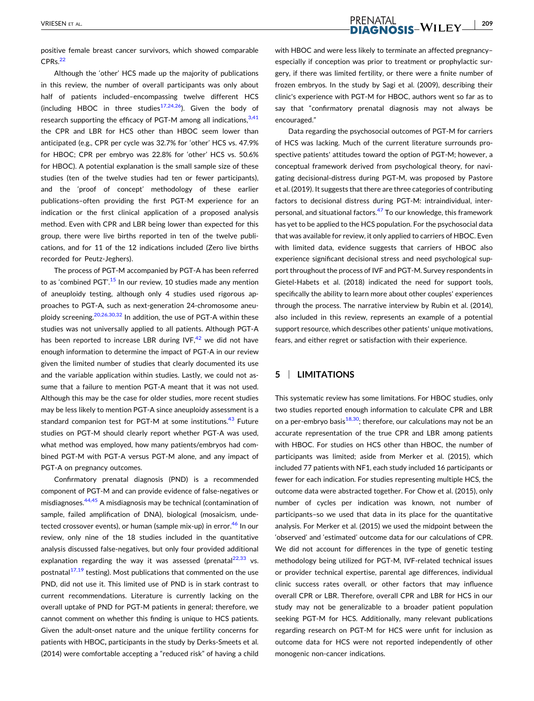positive female breast cancer survivors, which showed comparable CPR<sub>S.</sub><sup>[22](#page-11-0)</sup>

Although the 'other' HCS made up the majority of publications in this review, the number of overall participants was only about half of patients included–encompassing twelve different HCS (including HBOC in three studies<sup>[17,24,26](#page-10-0)</sup>). Given the body of research supporting the efficacy of PGT-M among all indications,  $3,41$ the CPR and LBR for HCS other than HBOC seem lower than anticipated (e.g., CPR per cycle was 32.7% for 'other' HCS vs. 47.9% for HBOC; CPR per embryo was 22.8% for 'other' HCS vs. 50.6% for HBOC). A potential explanation is the small sample size of these studies (ten of the twelve studies had ten or fewer participants), and the 'proof of concept' methodology of these earlier publications–often providing the first PGT‐M experience for an indication or the first clinical application of a proposed analysis method. Even with CPR and LBR being lower than expected for this group, there were live births reported in ten of the twelve publications, and for 11 of the 12 indications included (Zero live births recorded for Peutz‐Jeghers).

The process of PGT‐M accompanied by PGT‐A has been referred to as 'combined PGT'.<sup>[15](#page-10-0)</sup> In our review, 10 studies made any mention of aneuploidy testing, although only 4 studies used rigorous approaches to PGT‐A, such as next‐generation 24‐chromosome aneu-ploidy screening.<sup>[20,26,30,32](#page-11-0)</sup> In addition, the use of PGT-A within these studies was not universally applied to all patients. Although PGT‐A has been reported to increase LBR during  $IVF<sub>1</sub><sup>42</sup>$  $IVF<sub>1</sub><sup>42</sup>$  $IVF<sub>1</sub><sup>42</sup>$  we did not have enough information to determine the impact of PGT‐A in our review given the limited number of studies that clearly documented its use and the variable application within studies. Lastly, we could not assume that a failure to mention PGT‐A meant that it was not used. Although this may be the case for older studies, more recent studies may be less likely to mention PGT‐A since aneuploidy assessment is a standard companion test for PGT-M at some institutions.<sup>43</sup> Future studies on PGT‐M should clearly report whether PGT‐A was used, what method was employed, how many patients/embryos had combined PGT‐M with PGT‐A versus PGT‐M alone, and any impact of PGT-A on pregnancy outcomes.

Confirmatory prenatal diagnosis (PND) is a recommended component of PGT‐M and can provide evidence of false‐negatives or misdiagnoses.<sup>[44,45](#page-11-0)</sup> A misdiagnosis may be technical (contamination of sample, failed amplification of DNA), biological (mosaicism, undetected crossover events), or human (sample mix-up) in error.<sup>46</sup> In our review, only nine of the 18 studies included in the quantitative analysis discussed false‐negatives, but only four provided additional explanation regarding the way it was assessed (prenatal $^{22,33}$  vs. postnatal $17,19$  testing). Most publications that commented on the use PND, did not use it. This limited use of PND is in stark contrast to current recommendations. Literature is currently lacking on the overall uptake of PND for PGT‐M patients in general; therefore, we cannot comment on whether this finding is unique to HCS patients. Given the adult‐onset nature and the unique fertility concerns for patients with HBOC**,** participants in the study by Derks‐Smeets et al. (2014) were comfortable accepting a "reduced risk" of having a child

with HBOC and were less likely to terminate an affected pregnancy– especially if conception was prior to treatment or prophylactic surgery, if there was limited fertility, or there were a finite number of frozen embryos. In the study by Sagi et al. (2009), describing their clinic's experience with PGT‐M for HBOC, authors went so far as to say that "confirmatory prenatal diagnosis may not always be encouraged."

Data regarding the psychosocial outcomes of PGT‐M for carriers of HCS was lacking. Much of the current literature surrounds prospective patients' attitudes toward the option of PGT‐M; however, a conceptual framework derived from psychological theory, for navigating decisional‐distress during PGT‐M, was proposed by Pastore et al. (2019). It suggests that there are three categories of contributing factors to decisional distress during PGT‐M: intraindividual, inter-personal, and situational factors.<sup>[47](#page-11-0)</sup> To our knowledge, this framework has yet to be applied to the HCS population. For the psychosocial data that was available for review, it only applied to carriers of HBOC. Even with limited data, evidence suggests that carriers of HBOC also experience significant decisional stress and need psychological support throughout the process of IVF and PGT‐M. Survey respondents in Gietel-Habets et al. (2018) indicated the need for support tools, specifically the ability to learn more about other couples' experiences through the process. The narrative interview by Rubin et al. (2014), also included in this review, represents an example of a potential support resource, which describes other patients' unique motivations, fears, and either regret or satisfaction with their experience.

## **5** <sup>|</sup> **LIMITATIONS**

This systematic review has some limitations. For HBOC studies, only two studies reported enough information to calculate CPR and LBR on a per-embryo basis $18,30$ ; therefore, our calculations may not be an accurate representation of the true CPR and LBR among patients with HBOC. For studies on HCS other than HBOC, the number of participants was limited; aside from Merker et al. (2015), which included 77 patients with NF1, each study included 16 participants or fewer for each indication. For studies representing multiple HCS, the outcome data were abstracted together. For Chow et al. (2015), only number of cycles per indication was known, not number of participants–so we used that data in its place for the quantitative analysis. For Merker et al. (2015) we used the midpoint between the 'observed' and 'estimated' outcome data for our calculations of CPR. We did not account for differences in the type of genetic testing methodology being utilized for PGT‐M, IVF‐related technical issues or provider technical expertise, parental age differences, individual clinic success rates overall, or other factors that may influence overall CPR or LBR. Therefore, overall CPR and LBR for HCS in our study may not be generalizable to a broader patient population seeking PGT-M for HCS. Additionally, many relevant publications regarding research on PGT‐M for HCS were unfit for inclusion as outcome data for HCS were not reported independently of other monogenic non‐cancer indications.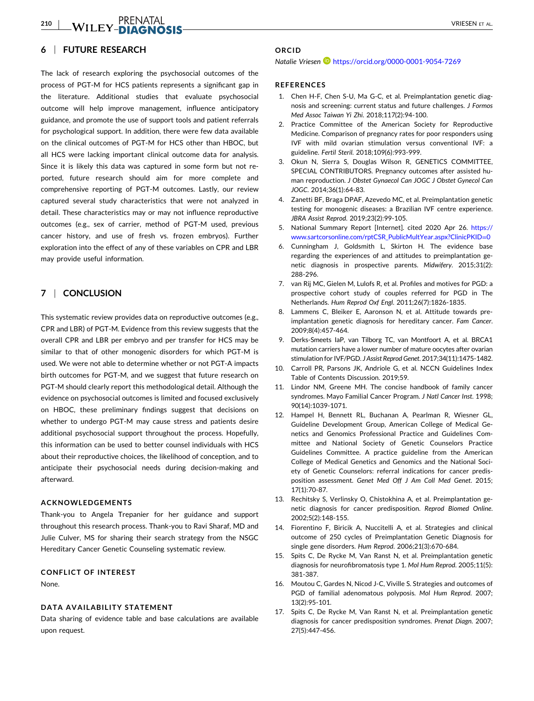<span id="page-10-0"></span>**210** - VRIESEN ET AL.

## **6** <sup>|</sup> **FUTURE RESEARCH**

The lack of research exploring the psychosocial outcomes of the process of PGT‐M for HCS patients represents a significant gap in the literature. Additional studies that evaluate psychosocial outcome will help improve management, influence anticipatory guidance, and promote the use of support tools and patient referrals for psychological support. In addition, there were few data available on the clinical outcomes of PGT‐M for HCS other than HBOC, but all HCS were lacking important clinical outcome data for analysis. Since it is likely this data was captured in some form but not reported, future research should aim for more complete and comprehensive reporting of PGT‐M outcomes. Lastly, our review captured several study characteristics that were not analyzed in detail. These characteristics may or may not influence reproductive outcomes (e.g., sex of carrier, method of PGT‐M used, previous cancer history, and use of fresh vs. frozen embryos). Further exploration into the effect of any of these variables on CPR and LBR may provide useful information.

## **7** <sup>|</sup> **CONCLUSION**

This systematic review provides data on reproductive outcomes (e.g., CPR and LBR) of PGT‐M. Evidence from this review suggests that the overall CPR and LBR per embryo and per transfer for HCS may be similar to that of other monogenic disorders for which PGT-M is used. We were not able to determine whether or not PGT‐A impacts birth outcomes for PGT‐M, and we suggest that future research on PGT-M should clearly report this methodological detail. Although the evidence on psychosocial outcomes is limited and focused exclusively on HBOC, these preliminary findings suggest that decisions on whether to undergo PGT‐M may cause stress and patients desire additional psychosocial support throughout the process. Hopefully, this information can be used to better counsel individuals with HCS about their reproductive choices, the likelihood of conception, and to anticipate their psychosocial needs during decision‐making and afterward.

#### **ACKNOWLEDGEMENTS**

Thank‐you to Angela Trepanier for her guidance and support throughout this research process. Thank‐you to Ravi Sharaf, MD and Julie Culver, MS for sharing their search strategy from the NSGC Hereditary Cancer Genetic Counseling systematic review.

#### **CONFLICT OF INTEREST**

None.

#### **DATA AVAILABILITY STATEMENT**

Data sharing of evidence table and base calculations are available upon request.

## **ORCID**

*Natalie Vriesen* <https://orcid.org/0000-0001-9054-7269>

## **REFERENCES**

- 1. Chen H‐F, Chen S‐U, Ma G‐C, et al. Preimplantation genetic diagnosis and screening: current status and future challenges. *J Formos Med Assoc Taiwan Yi Zhi*. 2018;117(2):94‐100.
- 2. Practice Committee of the American Society for Reproductive Medicine. Comparison of pregnancy rates for poor responders using IVF with mild ovarian stimulation versus conventional IVF: a guideline. *Fertil Steril*. 2018;109(6):993‐999.
- 3. Okun N, Sierra S, Douglas Wilson R, GENETICS COMMITTEE, SPECIAL CONTRIBUTORS. Pregnancy outcomes after assisted human reproduction. *J Obstet Gynaecol Can JOGC J Obstet Gynecol Can JOGC*. 2014;36(1):64‐83.
- 4. Zanetti BF, Braga DPAF, Azevedo MC, et al. Preimplantation genetic testing for monogenic diseases: a Brazilian IVF centre experience. *JBRA Assist Reprod*. 2019;23(2):99‐105.
- 5. National Summary Report [Internet]. cited 2020 Apr 26. [https://](https://www.sartcorsonline.com/rptCSR_PublicMultYear.aspx?ClinicPKID=0) [www.sartcorsonline.com/rptCSR\\_PublicMultYear.aspx?ClinicPKID](https://www.sartcorsonline.com/rptCSR_PublicMultYear.aspx?ClinicPKID=0)=0
- 6. Cunningham J, Goldsmith L, Skirton H. The evidence base regarding the experiences of and attitudes to preimplantation genetic diagnosis in prospective parents. *Midwifery*. 2015;31(2): 288‐296.
- 7. van Rij MC, Gielen M, Lulofs R, et al. Profiles and motives for PGD: a prospective cohort study of couples referred for PGD in The Netherlands. *Hum Reprod Oxf Engl*. 2011;26(7):1826‐1835.
- 8. Lammens C, Bleiker E, Aaronson N, et al. Attitude towards pre‐ implantation genetic diagnosis for hereditary cancer. *Fam Cancer*. 2009;8(4):457‐464.
- 9. Derks‐Smeets IaP, van Tilborg TC, van Montfoort A, et al. BRCA1 mutation carriers have a lower number of mature oocytes after ovarian stimulation for IVF/PGD. *J Assist Reprod Genet*. 2017;34(11):1475‐1482.
- 10. Carroll PR, Parsons JK, Andriole G, et al. NCCN Guidelines Index Table of Contents Discussion. 2019;59.
- 11. Lindor NM, Greene MH. The concise handbook of family cancer syndromes. Mayo Familial Cancer Program. *J Natl Cancer Inst*. 1998; 90(14):1039‐1071.
- 12. Hampel H, Bennett RL, Buchanan A, Pearlman R, Wiesner GL, Guideline Development Group, American College of Medical Genetics and Genomics Professional Practice and Guidelines Committee and National Society of Genetic Counselors Practice Guidelines Committee. A practice guideline from the American College of Medical Genetics and Genomics and the National Society of Genetic Counselors: referral indications for cancer predisposition assessment. *Genet Med Off J Am Coll Med Genet*. 2015; 17(1):70‐87.
- 13. Rechitsky S, Verlinsky O, Chistokhina A, et al. Preimplantation genetic diagnosis for cancer predisposition. *Reprod Biomed Online*. 2002;5(2):148‐155.
- 14. Fiorentino F, Biricik A, Nuccitelli A, et al. Strategies and clinical outcome of 250 cycles of Preimplantation Genetic Diagnosis for single gene disorders. *Hum Reprod*. 2006;21(3):670‐684.
- 15. Spits C, De Rycke M, Van Ranst N, et al. Preimplantation genetic diagnosis for neurofibromatosis type 1. *Mol Hum Reprod*. 2005;11(5): 381‐387.
- 16. Moutou C, Gardes N, Nicod J‐C, Viville S. Strategies and outcomes of PGD of familial adenomatous polyposis. *Mol Hum Reprod*. 2007; 13(2):95‐101.
- 17. Spits C, De Rycke M, Van Ranst N, et al. Preimplantation genetic diagnosis for cancer predisposition syndromes. *Prenat Diagn*. 2007; 27(5):447‐456.